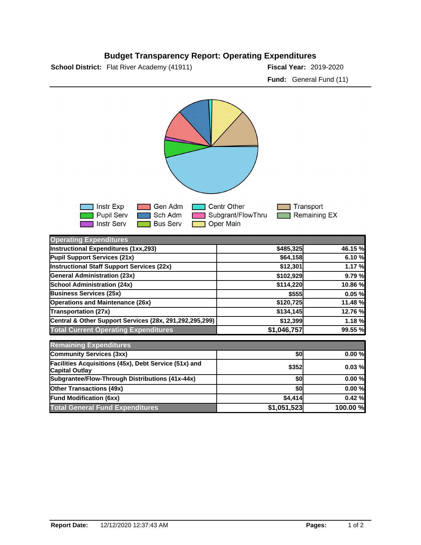## **Budget Transparency Report: Operating Expenditures**

**School District:** Flat River Academy (41911) **2018-2020 Fiscal Year:** 2019-2020

**Fund:** General Fund (11)



| <b>Operating Expenditures</b>                                                  |             |          |
|--------------------------------------------------------------------------------|-------------|----------|
| Instructional Expenditures (1xx,293)                                           | \$485,325   | 46.15 %  |
| Pupil Support Services (21x)                                                   | \$64,158    | 6.10 %   |
| Instructional Staff Support Services (22x)                                     | \$12,301    | 1.17 %   |
| <b>General Administration (23x)</b>                                            | \$102,929   | 9.79 %   |
| <b>School Administration (24x)</b>                                             | \$114,220   | 10.86 %  |
| <b>Business Services (25x)</b>                                                 | \$555       | 0.05%    |
| <b>Operations and Maintenance (26x)</b>                                        | \$120,725   | 11.48 %  |
| Transportation (27x)                                                           | \$134,145   | 12.76 %  |
| Central & Other Support Services (28x, 291,292,295,299)                        | \$12,399    | 1.18 %   |
| <b>Total Current Operating Expenditures</b>                                    | \$1,046,757 | 99.55 %  |
| <b>Remaining Expenditures</b>                                                  |             |          |
| <b>Community Services (3xx)</b>                                                | \$0         | 0.00%    |
| Facilities Acquisitions (45x), Debt Service (51x) and<br><b>Capital Outlay</b> | \$352       | 0.03%    |
| Subgrantee/Flow-Through Distributions (41x-44x)                                | \$0         | 0.00%    |
| <b>Other Transactions (49x)</b>                                                | \$0         | 0.00%    |
| <b>Fund Modification (6xx)</b>                                                 | \$4,414     | 0.42%    |
| <b>Total General Fund Expenditures</b>                                         | \$1,051,523 | 100.00 % |